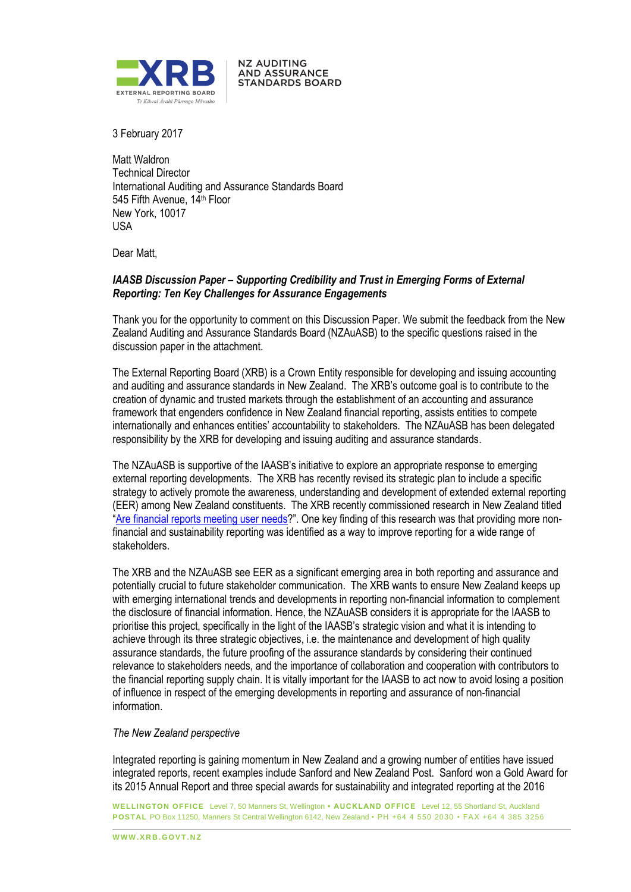

**NZ AUDITING AND ASSURANCE STANDARDS BOARD** 

3 February 2017

Matt Waldron Technical Director International Auditing and Assurance Standards Board 545 Fifth Avenue, 14<sup>th</sup> Floor New York, 10017 USA

Dear Matt,

# *IAASB Discussion Paper – Supporting Credibility and Trust in Emerging Forms of External Reporting: Ten Key Challenges for Assurance Engagements*

Thank you for the opportunity to comment on this Discussion Paper. We submit the feedback from the New Zealand Auditing and Assurance Standards Board (NZAuASB) to the specific questions raised in the discussion paper in the attachment.

The External Reporting Board (XRB) is a Crown Entity responsible for developing and issuing accounting and auditing and assurance standards in New Zealand. The XRB's outcome goal is to contribute to the creation of dynamic and trusted markets through the establishment of an accounting and assurance framework that engenders confidence in New Zealand financial reporting, assists entities to compete internationally and enhances entities' accountability to stakeholders. The NZAuASB has been delegated responsibility by the XRB for developing and issuing auditing and assurance standards.

The NZAuASB is supportive of the IAASB's initiative to explore an appropriate response to emerging external reporting developments. The XRB has recently revised its strategic plan to include a specific strategy to actively promote the awareness, understanding and development of extended external reporting (EER) among New Zealand constituents. The XRB recently commissioned research in New Zealand titled "[Are financial reports meeting user needs](https://www.xrb.govt.nz/Site/Research/Research_Reports.aspx)?". One key finding of this research was that providing more nonfinancial and sustainability reporting was identified as a way to improve reporting for a wide range of stakeholders.

The XRB and the NZAuASB see EER as a significant emerging area in both reporting and assurance and potentially crucial to future stakeholder communication. The XRB wants to ensure New Zealand keeps up with emerging international trends and developments in reporting non-financial information to complement the disclosure of financial information. Hence, the NZAuASB considers it is appropriate for the IAASB to prioritise this project, specifically in the light of the IAASB's strategic vision and what it is intending to achieve through its three strategic objectives, i.e. the maintenance and development of high quality assurance standards, the future proofing of the assurance standards by considering their continued relevance to stakeholders needs, and the importance of collaboration and cooperation with contributors to the financial reporting supply chain. It is vitally important for the IAASB to act now to avoid losing a position of influence in respect of the emerging developments in reporting and assurance of non-financial information.

# *The New Zealand perspective*

Integrated reporting is gaining momentum in New Zealand and a growing number of entities have issued integrated reports, recent examples include Sanford and New Zealand Post. Sanford won a Gold Award for its 2015 Annual Report and three special awards for sustainability and integrated reporting at the 2016

**WELLINGTON OFFICE** Level 7, 50 Manners St, Wellington **• AUCKLAND OFFICE** Level 12, 55 Shortland St, Auckland **POSTAL** PO Box 11250, Manners St Central Wellington 6142, New Zealand • PH +64 4 550 2030 • FAX +64 4 385 3256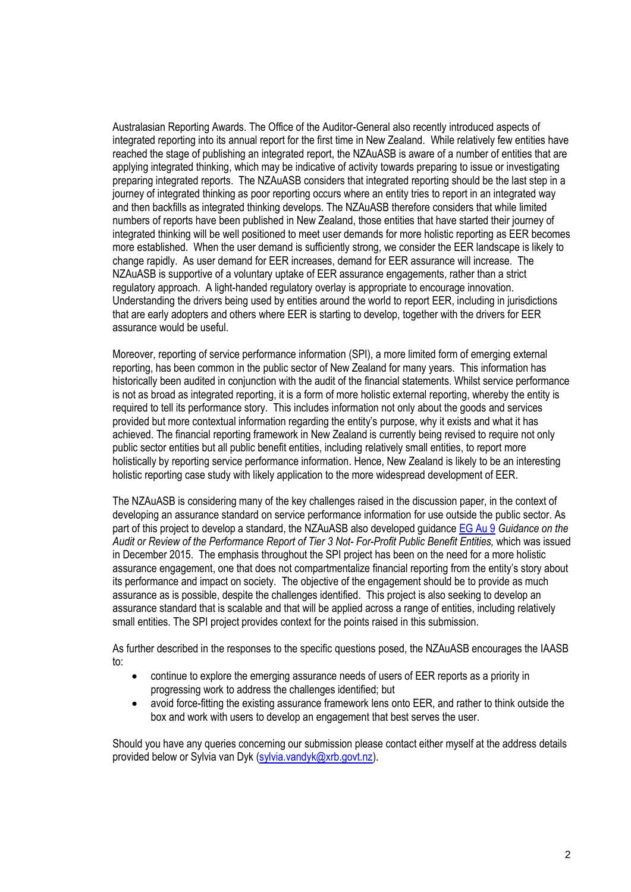Australasian Reporting Awards. The Office of the Auditor-General also recently introduced aspects of integrated reporting into its annual report for the first time in New Zealand. While relatively few entities have reached the stage of publishing an integrated report, the NZAuASB is aware of a number of entities that are applying integrated thinking, which may be indicative of activity towards preparing to issue or investigating preparing integrated reports. The NZAuASB considers that integrated reporting should be the last step in a journey of integrated thinking as poor reporting occurs where an entity tries to report in an integrated way and then backfills as integrated thinking develops. The NZAuASB therefore considers that while limited numbers of reports have been published in New Zealand, those entities that have started their journey of integrated thinking will be well positioned to meet user demands for more holistic reporting as EER becomes more established. When the user demand is sufficiently strong, we consider the EER landscape is likely to change rapidly. As user demand for EER increases, demand for EER assurance will increase. The NZAuASB is supportive of a voluntary uptake of EER assurance engagements, rather than a strict regulatory approach. A light-handed regulatory overlay is appropriate to encourage innovation. Understanding the drivers being used by entities around the world to report EER, including in jurisdictions that are early adopters and others where EER is starting to develop, together with the drivers for EER assurance would be useful.

Moreover, reporting of service performance information (SPI), a more limited form of emerging external reporting, has been common in the public sector of New Zealand for many years. This information has historically been audited in conjunction with the audit of the financial statements. Whilst service performance is not as broad as integrated reporting, it is a form of more holistic external reporting, whereby the entity is required to tell its performance story. This includes information not only about the goods and services provided but more contextual information regarding the entity's purpose, why it exists and what it has achieved. The financial reporting framework in New Zealand is currently being revised to require not only public sector entities but all public benefit entities, including relatively small entities, to report more holistically by reporting service performance information. Hence, New Zealand is likely to be an interesting holistic reporting case study with likely application to the more widespread development of EER.

The NZAuASB is considering many of the key challenges raised in the discussion paper, in the context of developing an assurance standard on service performance information for use outside the public sector. As part of this project to develop a standard, the NZAuASB also developed guidance [EG Au 9](https://www.xrb.govt.nz/Site/Auditing_Assurance_Standards/Current_Standards/Explanatory_Guides.aspx) *Guidance on the Audit or Review of the Performance Report of Tier 3 Not- For-Profit Public Benefit Entities,* which was issued in December 2015. The emphasis throughout the SPI project has been on the need for a more holistic assurance engagement, one that does not compartmentalize financial reporting from the entity's story about its performance and impact on society. The objective of the engagement should be to provide as much assurance as is possible, despite the challenges identified. This project is also seeking to develop an assurance standard that is scalable and that will be applied across a range of entities, including relatively small entities. The SPI project provides context for the points raised in this submission.

As further described in the responses to the specific questions posed, the NZAuASB encourages the IAASB to:

- continue to explore the emerging assurance needs of users of EER reports as a priority in progressing work to address the challenges identified; but
- avoid force-fitting the existing assurance framework lens onto EER, and rather to think outside the box and work with users to develop an engagement that best serves the user.

Should you have any queries concerning our submission please contact either myself at the address details provided below or Sylvia van Dyk (sylvia.vandyk@xrb.govt.nz).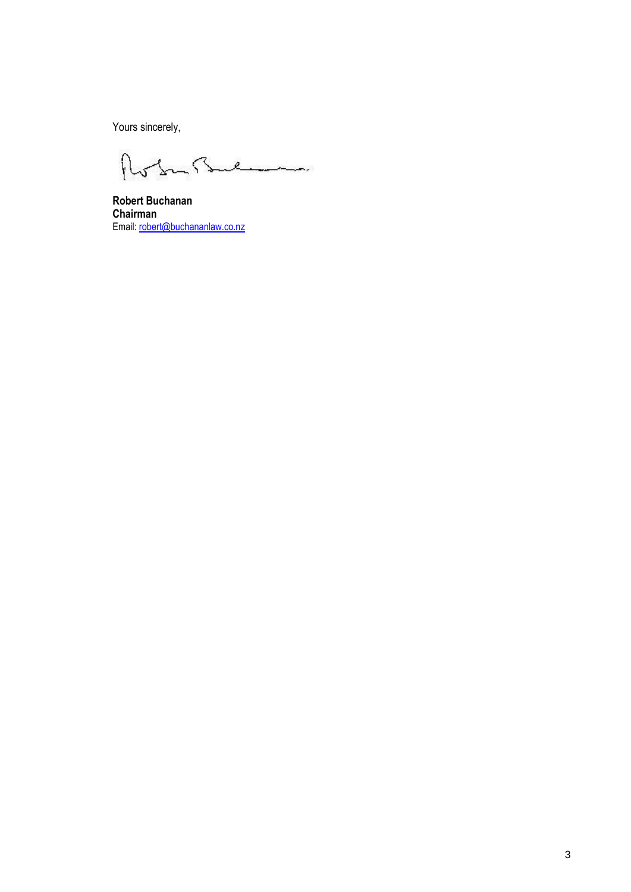Yours sincerely,

 $\eta$ obrillen

**Robert Buchanan Chairman** Email: robert@buchananlaw.co.nz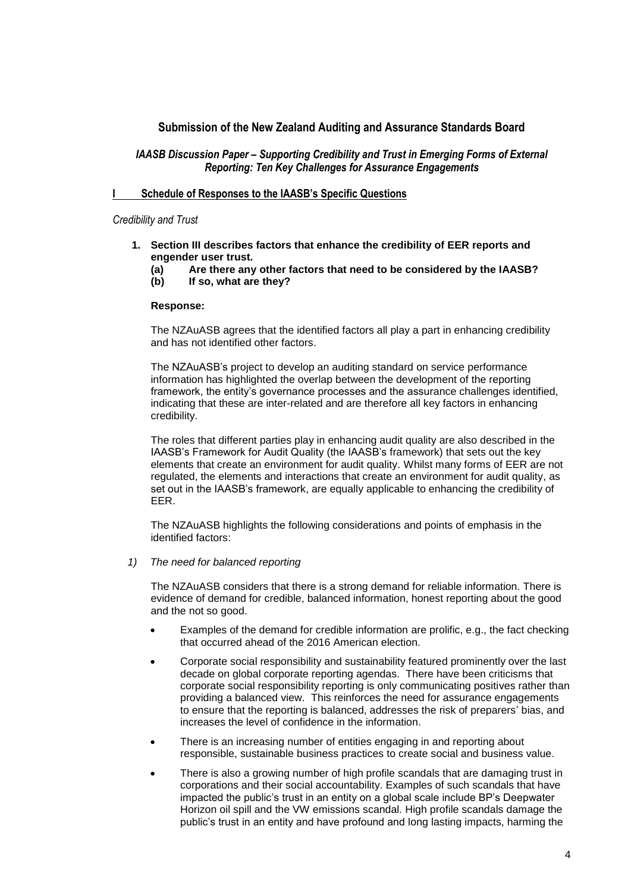# **Submission of the New Zealand Auditing and Assurance Standards Board**

# *IAASB Discussion Paper – Supporting Credibility and Trust in Emerging Forms of External Reporting: Ten Key Challenges for Assurance Engagements*

## **I Schedule of Responses to the IAASB's Specific Questions**

## *Credibility and Trust*

- **1. Section III describes factors that enhance the credibility of EER reports and engender user trust.**
	- **(a) Are there any other factors that need to be considered by the IAASB?**
	- **(b) If so, what are they?**

### **Response:**

The NZAuASB agrees that the identified factors all play a part in enhancing credibility and has not identified other factors.

The NZAuASB's project to develop an auditing standard on service performance information has highlighted the overlap between the development of the reporting framework, the entity's governance processes and the assurance challenges identified, indicating that these are inter-related and are therefore all key factors in enhancing credibility.

The roles that different parties play in enhancing audit quality are also described in the IAASB's Framework for Audit Quality (the IAASB's framework) that sets out the key elements that create an environment for audit quality. Whilst many forms of EER are not regulated, the elements and interactions that create an environment for audit quality, as set out in the IAASB's framework, are equally applicable to enhancing the credibility of EER.

The NZAuASB highlights the following considerations and points of emphasis in the identified factors:

*1) The need for balanced reporting*

The NZAuASB considers that there is a strong demand for reliable information. There is evidence of demand for credible, balanced information, honest reporting about the good and the not so good.

- Examples of the demand for credible information are prolific, e.g., the fact checking that occurred ahead of the 2016 American election.
- Corporate social responsibility and sustainability featured prominently over the last decade on global corporate reporting agendas. There have been criticisms that corporate social responsibility reporting is only communicating positives rather than providing a balanced view. This reinforces the need for assurance engagements to ensure that the reporting is balanced, addresses the risk of preparers' bias, and increases the level of confidence in the information.
- There is an increasing number of entities engaging in and reporting about responsible, sustainable business practices to create social and business value.
- There is also a growing number of high profile scandals that are damaging trust in corporations and their social accountability. Examples of such scandals that have impacted the public's trust in an entity on a global scale include BP's Deepwater Horizon oil spill and the VW emissions scandal. High profile scandals damage the public's trust in an entity and have profound and long lasting impacts, harming the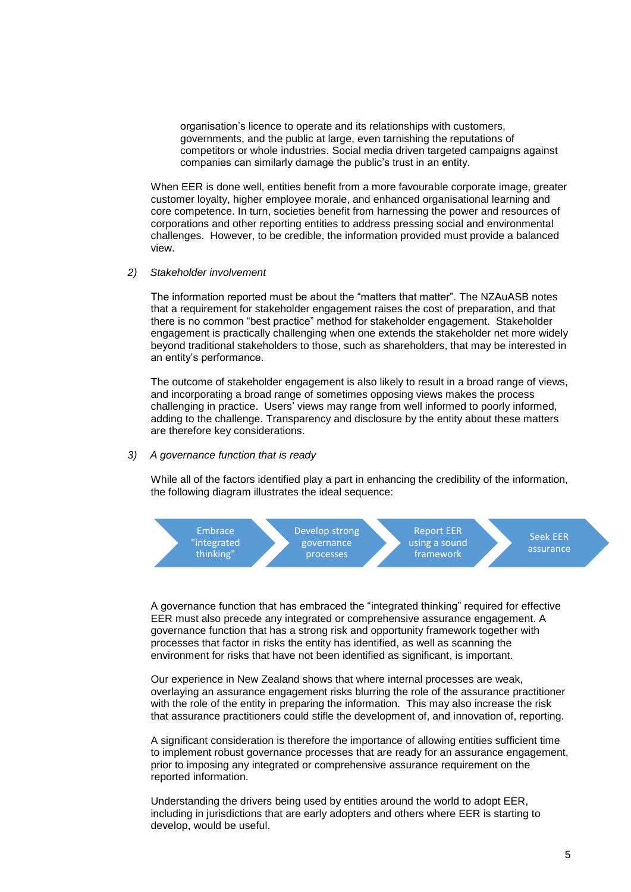organisation's licence to operate and its relationships with customers, governments, and the public at large, even tarnishing the reputations of competitors or whole industries. Social media driven targeted campaigns against companies can similarly damage the public's trust in an entity.

When EER is done well, entities benefit from a more favourable corporate image, greater customer loyalty, higher employee morale, and enhanced organisational learning and core competence. In turn, societies benefit from harnessing the power and resources of corporations and other reporting entities to address pressing social and environmental challenges. However, to be credible, the information provided must provide a balanced view.

### *2) Stakeholder involvement*

The information reported must be about the "matters that matter". The NZAuASB notes that a requirement for stakeholder engagement raises the cost of preparation, and that there is no common "best practice" method for stakeholder engagement. Stakeholder engagement is practically challenging when one extends the stakeholder net more widely beyond traditional stakeholders to those, such as shareholders, that may be interested in an entity's performance.

The outcome of stakeholder engagement is also likely to result in a broad range of views, and incorporating a broad range of sometimes opposing views makes the process challenging in practice. Users' views may range from well informed to poorly informed, adding to the challenge. Transparency and disclosure by the entity about these matters are therefore key considerations.

#### *3) A governance function that is ready*

While all of the factors identified play a part in enhancing the credibility of the information, the following diagram illustrates the ideal sequence:



A governance function that has embraced the "integrated thinking" required for effective EER must also precede any integrated or comprehensive assurance engagement. A governance function that has a strong risk and opportunity framework together with processes that factor in risks the entity has identified, as well as scanning the environment for risks that have not been identified as significant, is important.

Our experience in New Zealand shows that where internal processes are weak, overlaying an assurance engagement risks blurring the role of the assurance practitioner with the role of the entity in preparing the information. This may also increase the risk that assurance practitioners could stifle the development of, and innovation of, reporting.

A significant consideration is therefore the importance of allowing entities sufficient time to implement robust governance processes that are ready for an assurance engagement, prior to imposing any integrated or comprehensive assurance requirement on the reported information.

Understanding the drivers being used by entities around the world to adopt EER, including in jurisdictions that are early adopters and others where EER is starting to develop, would be useful.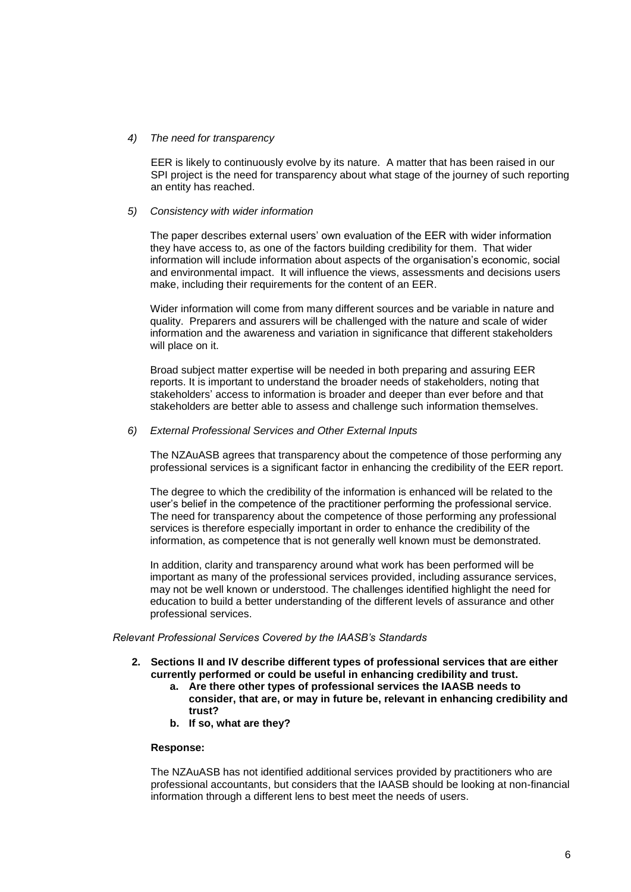### *4) The need for transparency*

EER is likely to continuously evolve by its nature. A matter that has been raised in our SPI project is the need for transparency about what stage of the journey of such reporting an entity has reached.

## *5) Consistency with wider information*

The paper describes external users' own evaluation of the EER with wider information they have access to, as one of the factors building credibility for them. That wider information will include information about aspects of the organisation's economic, social and environmental impact. It will influence the views, assessments and decisions users make, including their requirements for the content of an EER.

Wider information will come from many different sources and be variable in nature and quality. Preparers and assurers will be challenged with the nature and scale of wider information and the awareness and variation in significance that different stakeholders will place on it.

Broad subject matter expertise will be needed in both preparing and assuring EER reports. It is important to understand the broader needs of stakeholders, noting that stakeholders' access to information is broader and deeper than ever before and that stakeholders are better able to assess and challenge such information themselves.

## *6) External Professional Services and Other External Inputs*

The NZAuASB agrees that transparency about the competence of those performing any professional services is a significant factor in enhancing the credibility of the EER report.

The degree to which the credibility of the information is enhanced will be related to the user's belief in the competence of the practitioner performing the professional service. The need for transparency about the competence of those performing any professional services is therefore especially important in order to enhance the credibility of the information, as competence that is not generally well known must be demonstrated.

In addition, clarity and transparency around what work has been performed will be important as many of the professional services provided, including assurance services, may not be well known or understood. The challenges identified highlight the need for education to build a better understanding of the different levels of assurance and other professional services.

### *Relevant Professional Services Covered by the IAASB's Standards*

- **2. Sections II and IV describe different types of professional services that are either currently performed or could be useful in enhancing credibility and trust.**
	- **a. Are there other types of professional services the IAASB needs to consider, that are, or may in future be, relevant in enhancing credibility and trust?**
	- **b. If so, what are they?**

### **Response:**

The NZAuASB has not identified additional services provided by practitioners who are professional accountants, but considers that the IAASB should be looking at non-financial information through a different lens to best meet the needs of users.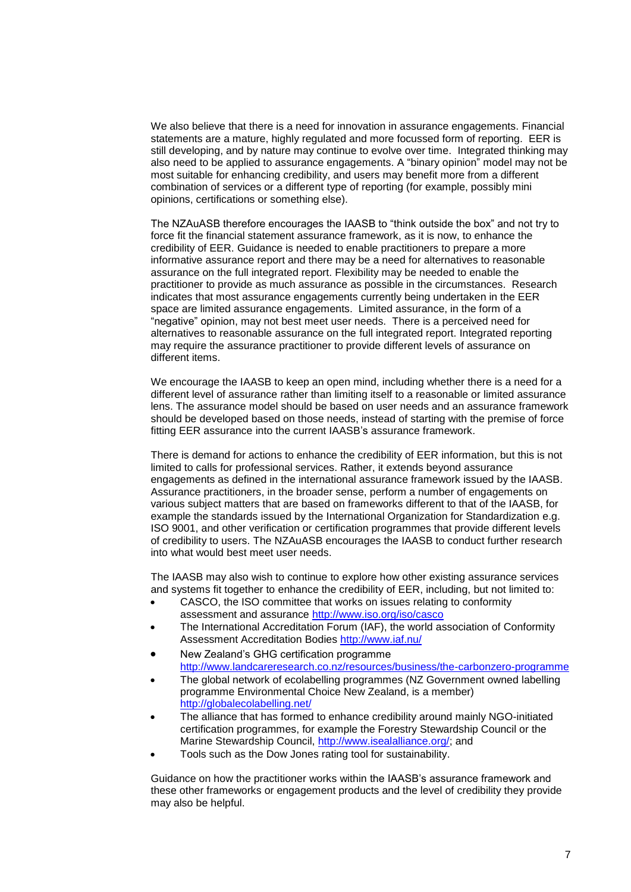We also believe that there is a need for innovation in assurance engagements. Financial statements are a mature, highly regulated and more focussed form of reporting. EER is still developing, and by nature may continue to evolve over time. Integrated thinking may also need to be applied to assurance engagements. A "binary opinion" model may not be most suitable for enhancing credibility, and users may benefit more from a different combination of services or a different type of reporting (for example, possibly mini opinions, certifications or something else).

The NZAuASB therefore encourages the IAASB to "think outside the box" and not try to force fit the financial statement assurance framework, as it is now, to enhance the credibility of EER. Guidance is needed to enable practitioners to prepare a more informative assurance report and there may be a need for alternatives to reasonable assurance on the full integrated report. Flexibility may be needed to enable the practitioner to provide as much assurance as possible in the circumstances. Research indicates that most assurance engagements currently being undertaken in the EER space are limited assurance engagements. Limited assurance, in the form of a "negative" opinion, may not best meet user needs. There is a perceived need for alternatives to reasonable assurance on the full integrated report. Integrated reporting may require the assurance practitioner to provide different levels of assurance on different items.

We encourage the IAASB to keep an open mind, including whether there is a need for a different level of assurance rather than limiting itself to a reasonable or limited assurance lens. The assurance model should be based on user needs and an assurance framework should be developed based on those needs, instead of starting with the premise of force fitting EER assurance into the current IAASB's assurance framework.

There is demand for actions to enhance the credibility of EER information, but this is not limited to calls for professional services. Rather, it extends beyond assurance engagements as defined in the international assurance framework issued by the IAASB. Assurance practitioners, in the broader sense, perform a number of engagements on various subject matters that are based on frameworks different to that of the IAASB, for example the standards issued by the International Organization for Standardization e.g. ISO 9001, and other verification or certification programmes that provide different levels of credibility to users. The NZAuASB encourages the IAASB to conduct further research into what would best meet user needs.

The IAASB may also wish to continue to explore how other existing assurance services and systems fit together to enhance the credibility of EER, including, but not limited to:

- CASCO, the ISO committee that works on issues relating to conformity assessment and assurance<http://www.iso.org/iso/casco>
- The International Accreditation Forum (IAF), the world association of Conformity Assessment Accreditation Bodies <http://www.iaf.nu/>
- New Zealand's GHG certification programme <http://www.landcareresearch.co.nz/resources/business/the-carbonzero-programme>
- The global network of ecolabelling programmes (NZ Government owned labelling programme Environmental Choice New Zealand, is a member) <http://globalecolabelling.net/>
- The alliance that has formed to enhance credibility around mainly NGO-initiated certification programmes, for example the Forestry Stewardship Council or the Marine Stewardship Council, [http://www.isealalliance.org/;](http://www.isealalliance.org/) and
- Tools such as the Dow Jones rating tool for sustainability.

Guidance on how the practitioner works within the IAASB's assurance framework and these other frameworks or engagement products and the level of credibility they provide may also be helpful.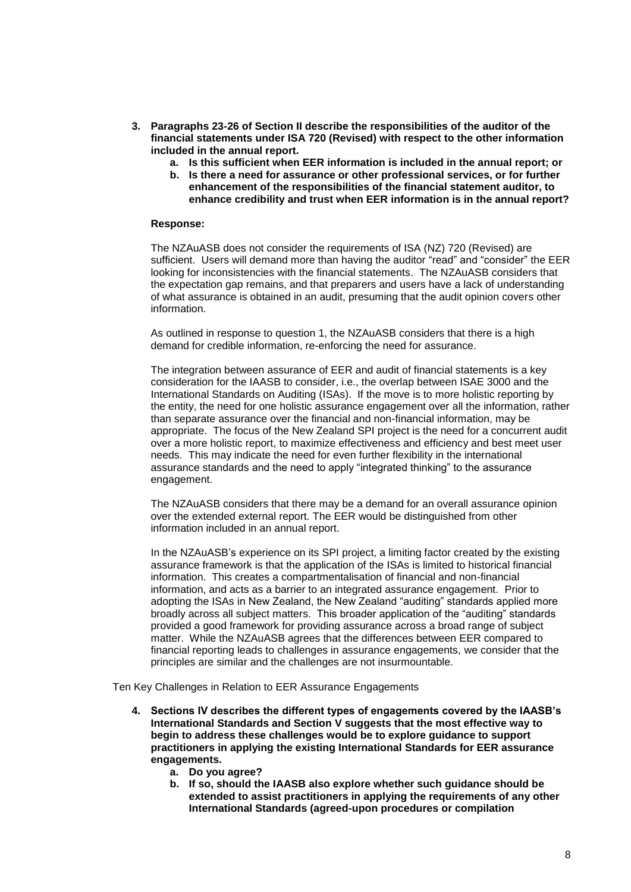- **3. Paragraphs 23-26 of Section II describe the responsibilities of the auditor of the financial statements under ISA 720 (Revised) with respect to the other information included in the annual report.**
	- **a. Is this sufficient when EER information is included in the annual report; or**
	- **b. Is there a need for assurance or other professional services, or for further enhancement of the responsibilities of the financial statement auditor, to enhance credibility and trust when EER information is in the annual report?**

## **Response:**

The NZAuASB does not consider the requirements of ISA (NZ) 720 (Revised) are sufficient. Users will demand more than having the auditor "read" and "consider" the EER looking for inconsistencies with the financial statements. The NZAuASB considers that the expectation gap remains, and that preparers and users have a lack of understanding of what assurance is obtained in an audit, presuming that the audit opinion covers other information.

As outlined in response to question 1, the NZAuASB considers that there is a high demand for credible information, re-enforcing the need for assurance.

The integration between assurance of EER and audit of financial statements is a key consideration for the IAASB to consider, i.e., the overlap between ISAE 3000 and the International Standards on Auditing (ISAs). If the move is to more holistic reporting by the entity, the need for one holistic assurance engagement over all the information, rather than separate assurance over the financial and non-financial information, may be appropriate. The focus of the New Zealand SPI project is the need for a concurrent audit over a more holistic report, to maximize effectiveness and efficiency and best meet user needs. This may indicate the need for even further flexibility in the international assurance standards and the need to apply "integrated thinking" to the assurance engagement.

The NZAuASB considers that there may be a demand for an overall assurance opinion over the extended external report. The EER would be distinguished from other information included in an annual report.

In the NZAuASB's experience on its SPI project, a limiting factor created by the existing assurance framework is that the application of the ISAs is limited to historical financial information. This creates a compartmentalisation of financial and non-financial information, and acts as a barrier to an integrated assurance engagement. Prior to adopting the ISAs in New Zealand, the New Zealand "auditing" standards applied more broadly across all subject matters. This broader application of the "auditing" standards provided a good framework for providing assurance across a broad range of subject matter. While the NZAuASB agrees that the differences between EER compared to financial reporting leads to challenges in assurance engagements, we consider that the principles are similar and the challenges are not insurmountable.

Ten Key Challenges in Relation to EER Assurance Engagements

- **4. Sections IV describes the different types of engagements covered by the IAASB's International Standards and Section V suggests that the most effective way to begin to address these challenges would be to explore guidance to support practitioners in applying the existing International Standards for EER assurance engagements.**
	- **a. Do you agree?**
	- **b. If so, should the IAASB also explore whether such guidance should be extended to assist practitioners in applying the requirements of any other International Standards (agreed-upon procedures or compilation**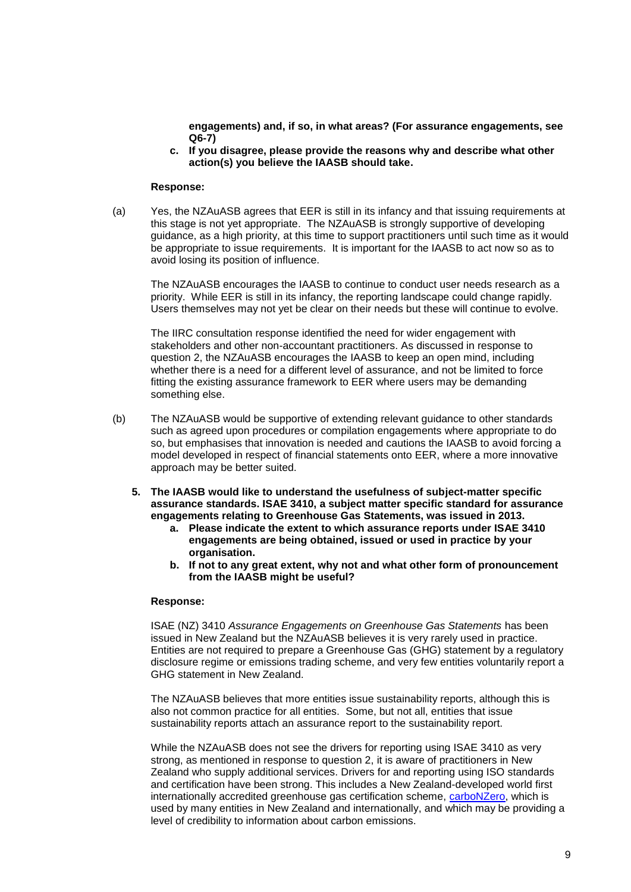**engagements) and, if so, in what areas? (For assurance engagements, see Q6-7)**

**c. If you disagree, please provide the reasons why and describe what other action(s) you believe the IAASB should take.**

#### **Response:**

(a) Yes, the NZAuASB agrees that EER is still in its infancy and that issuing requirements at this stage is not yet appropriate. The NZAuASB is strongly supportive of developing guidance, as a high priority, at this time to support practitioners until such time as it would be appropriate to issue requirements. It is important for the IAASB to act now so as to avoid losing its position of influence.

The NZAuASB encourages the IAASB to continue to conduct user needs research as a priority. While EER is still in its infancy, the reporting landscape could change rapidly. Users themselves may not yet be clear on their needs but these will continue to evolve.

The IIRC consultation response identified the need for wider engagement with stakeholders and other non-accountant practitioners. As discussed in response to question 2, the NZAuASB encourages the IAASB to keep an open mind, including whether there is a need for a different level of assurance, and not be limited to force fitting the existing assurance framework to EER where users may be demanding something else.

- (b) The NZAuASB would be supportive of extending relevant guidance to other standards such as agreed upon procedures or compilation engagements where appropriate to do so, but emphasises that innovation is needed and cautions the IAASB to avoid forcing a model developed in respect of financial statements onto EER, where a more innovative approach may be better suited.
	- **5. The IAASB would like to understand the usefulness of subject-matter specific assurance standards. ISAE 3410, a subject matter specific standard for assurance engagements relating to Greenhouse Gas Statements, was issued in 2013.**
		- **a. Please indicate the extent to which assurance reports under ISAE 3410 engagements are being obtained, issued or used in practice by your organisation.**
		- **b. If not to any great extent, why not and what other form of pronouncement from the IAASB might be useful?**

#### **Response:**

ISAE (NZ) 3410 *Assurance Engagements on Greenhouse Gas Statements* has been issued in New Zealand but the NZAuASB believes it is very rarely used in practice. Entities are not required to prepare a Greenhouse Gas (GHG) statement by a regulatory disclosure regime or emissions trading scheme, and very few entities voluntarily report a GHG statement in New Zealand.

The NZAuASB believes that more entities issue sustainability reports, although this is also not common practice for all entities. Some, but not all, entities that issue sustainability reports attach an assurance report to the sustainability report.

While the NZAuASB does not see the drivers for reporting using ISAE 3410 as very strong, as mentioned in response to question 2, it is aware of practitioners in New Zealand who supply additional services. Drivers for and reporting using ISO standards and certification have been strong. This includes a New Zealand-developed world first internationally accredited greenhouse gas certification scheme, [carboNZero,](http://www.landcareresearch.co.nz/resources/business/the-carbonzero-programme) which is used by many entities in New Zealand and internationally, and which may be providing a level of credibility to information about carbon emissions.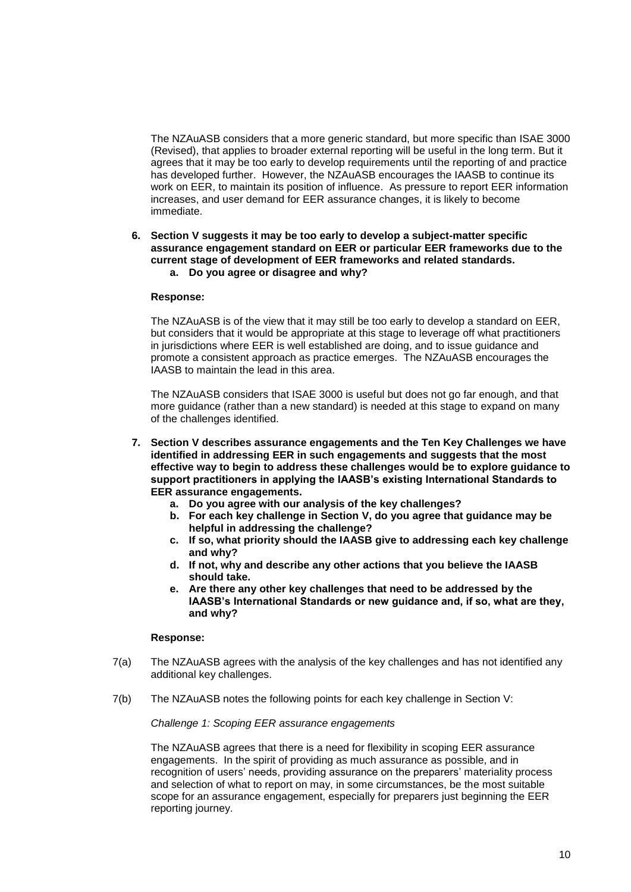The NZAuASB considers that a more generic standard, but more specific than ISAE 3000 (Revised), that applies to broader external reporting will be useful in the long term. But it agrees that it may be too early to develop requirements until the reporting of and practice has developed further. However, the NZAuASB encourages the IAASB to continue its work on EER, to maintain its position of influence. As pressure to report EER information increases, and user demand for EER assurance changes, it is likely to become immediate.

**6. Section V suggests it may be too early to develop a subject-matter specific assurance engagement standard on EER or particular EER frameworks due to the current stage of development of EER frameworks and related standards.**

# **a. Do you agree or disagree and why?**

## **Response:**

The NZAuASB is of the view that it may still be too early to develop a standard on EER, but considers that it would be appropriate at this stage to leverage off what practitioners in jurisdictions where EER is well established are doing, and to issue guidance and promote a consistent approach as practice emerges. The NZAuASB encourages the IAASB to maintain the lead in this area.

The NZAuASB considers that ISAE 3000 is useful but does not go far enough, and that more guidance (rather than a new standard) is needed at this stage to expand on many of the challenges identified.

- **7. Section V describes assurance engagements and the Ten Key Challenges we have identified in addressing EER in such engagements and suggests that the most effective way to begin to address these challenges would be to explore guidance to support practitioners in applying the IAASB's existing International Standards to EER assurance engagements.**
	- **a. Do you agree with our analysis of the key challenges?**
	- **b. For each key challenge in Section V, do you agree that guidance may be helpful in addressing the challenge?**
	- **c. If so, what priority should the IAASB give to addressing each key challenge and why?**
	- **d. If not, why and describe any other actions that you believe the IAASB should take.**
	- **e. Are there any other key challenges that need to be addressed by the IAASB's International Standards or new guidance and, if so, what are they, and why?**

### **Response:**

- 7(a) The NZAuASB agrees with the analysis of the key challenges and has not identified any additional key challenges.
- 7(b) The NZAuASB notes the following points for each key challenge in Section V:

*Challenge 1: Scoping EER assurance engagements*

The NZAuASB agrees that there is a need for flexibility in scoping EER assurance engagements. In the spirit of providing as much assurance as possible, and in recognition of users' needs, providing assurance on the preparers' materiality process and selection of what to report on may, in some circumstances, be the most suitable scope for an assurance engagement, especially for preparers just beginning the EER reporting journey.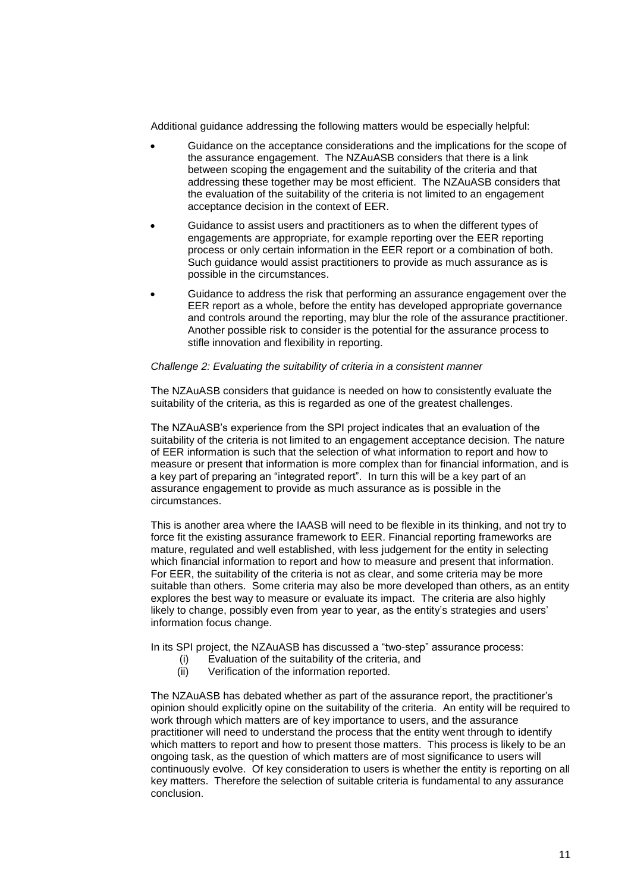Additional guidance addressing the following matters would be especially helpful:

- Guidance on the acceptance considerations and the implications for the scope of the assurance engagement. The NZAuASB considers that there is a link between scoping the engagement and the suitability of the criteria and that addressing these together may be most efficient. The NZAuASB considers that the evaluation of the suitability of the criteria is not limited to an engagement acceptance decision in the context of EER.
- Guidance to assist users and practitioners as to when the different types of engagements are appropriate, for example reporting over the EER reporting process or only certain information in the EER report or a combination of both. Such guidance would assist practitioners to provide as much assurance as is possible in the circumstances.
- Guidance to address the risk that performing an assurance engagement over the EER report as a whole, before the entity has developed appropriate governance and controls around the reporting, may blur the role of the assurance practitioner. Another possible risk to consider is the potential for the assurance process to stifle innovation and flexibility in reporting.

### *Challenge 2: Evaluating the suitability of criteria in a consistent manner*

The NZAuASB considers that guidance is needed on how to consistently evaluate the suitability of the criteria, as this is regarded as one of the greatest challenges.

The NZAuASB's experience from the SPI project indicates that an evaluation of the suitability of the criteria is not limited to an engagement acceptance decision. The nature of EER information is such that the selection of what information to report and how to measure or present that information is more complex than for financial information, and is a key part of preparing an "integrated report". In turn this will be a key part of an assurance engagement to provide as much assurance as is possible in the circumstances.

This is another area where the IAASB will need to be flexible in its thinking, and not try to force fit the existing assurance framework to EER. Financial reporting frameworks are mature, regulated and well established, with less judgement for the entity in selecting which financial information to report and how to measure and present that information. For EER, the suitability of the criteria is not as clear, and some criteria may be more suitable than others. Some criteria may also be more developed than others, as an entity explores the best way to measure or evaluate its impact. The criteria are also highly likely to change, possibly even from year to year, as the entity's strategies and users' information focus change.

In its SPI project, the NZAuASB has discussed a "two-step" assurance process:

- (i) Evaluation of the suitability of the criteria, and
- (ii) Verification of the information reported.

The NZAuASB has debated whether as part of the assurance report, the practitioner's opinion should explicitly opine on the suitability of the criteria. An entity will be required to work through which matters are of key importance to users, and the assurance practitioner will need to understand the process that the entity went through to identify which matters to report and how to present those matters. This process is likely to be an ongoing task, as the question of which matters are of most significance to users will continuously evolve. Of key consideration to users is whether the entity is reporting on all key matters. Therefore the selection of suitable criteria is fundamental to any assurance conclusion.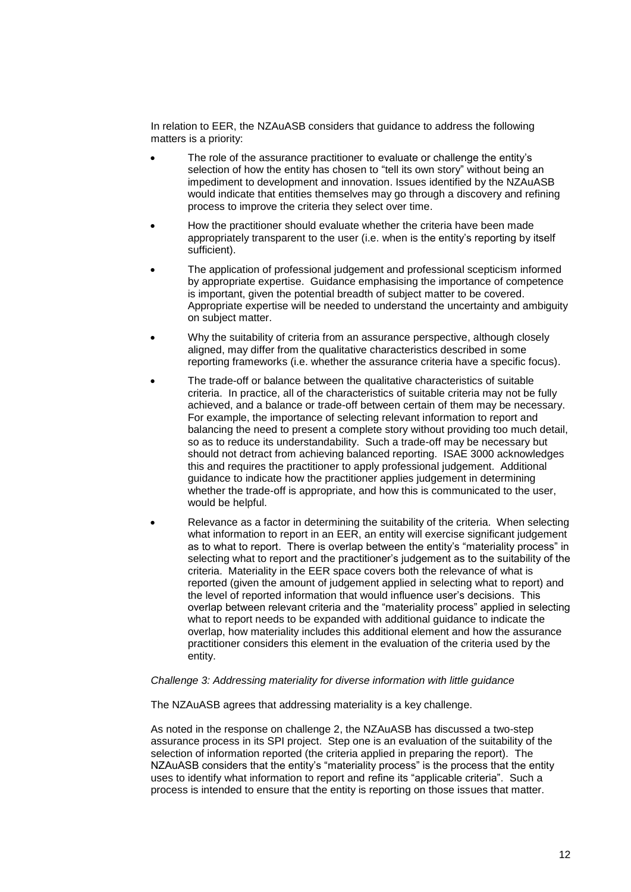In relation to EER, the NZAuASB considers that guidance to address the following matters is a priority:

- The role of the assurance practitioner to evaluate or challenge the entity's selection of how the entity has chosen to "tell its own story" without being an impediment to development and innovation. Issues identified by the NZAuASB would indicate that entities themselves may go through a discovery and refining process to improve the criteria they select over time.
- How the practitioner should evaluate whether the criteria have been made appropriately transparent to the user (i.e. when is the entity's reporting by itself sufficient).
- The application of professional judgement and professional scepticism informed by appropriate expertise. Guidance emphasising the importance of competence is important, given the potential breadth of subject matter to be covered. Appropriate expertise will be needed to understand the uncertainty and ambiguity on subject matter.
- Why the suitability of criteria from an assurance perspective, although closely aligned, may differ from the qualitative characteristics described in some reporting frameworks (i.e. whether the assurance criteria have a specific focus).
- The trade-off or balance between the qualitative characteristics of suitable criteria. In practice, all of the characteristics of suitable criteria may not be fully achieved, and a balance or trade-off between certain of them may be necessary. For example, the importance of selecting relevant information to report and balancing the need to present a complete story without providing too much detail, so as to reduce its understandability. Such a trade-off may be necessary but should not detract from achieving balanced reporting. ISAE 3000 acknowledges this and requires the practitioner to apply professional judgement. Additional guidance to indicate how the practitioner applies judgement in determining whether the trade-off is appropriate, and how this is communicated to the user, would be helpful.
- Relevance as a factor in determining the suitability of the criteria. When selecting what information to report in an EER, an entity will exercise significant judgement as to what to report. There is overlap between the entity's "materiality process" in selecting what to report and the practitioner's judgement as to the suitability of the criteria. Materiality in the EER space covers both the relevance of what is reported (given the amount of judgement applied in selecting what to report) and the level of reported information that would influence user's decisions. This overlap between relevant criteria and the "materiality process" applied in selecting what to report needs to be expanded with additional guidance to indicate the overlap, how materiality includes this additional element and how the assurance practitioner considers this element in the evaluation of the criteria used by the entity.

## *Challenge 3: Addressing materiality for diverse information with little guidance*

The NZAuASB agrees that addressing materiality is a key challenge.

As noted in the response on challenge 2, the NZAuASB has discussed a two-step assurance process in its SPI project. Step one is an evaluation of the suitability of the selection of information reported (the criteria applied in preparing the report). The NZAuASB considers that the entity's "materiality process" is the process that the entity uses to identify what information to report and refine its "applicable criteria". Such a process is intended to ensure that the entity is reporting on those issues that matter.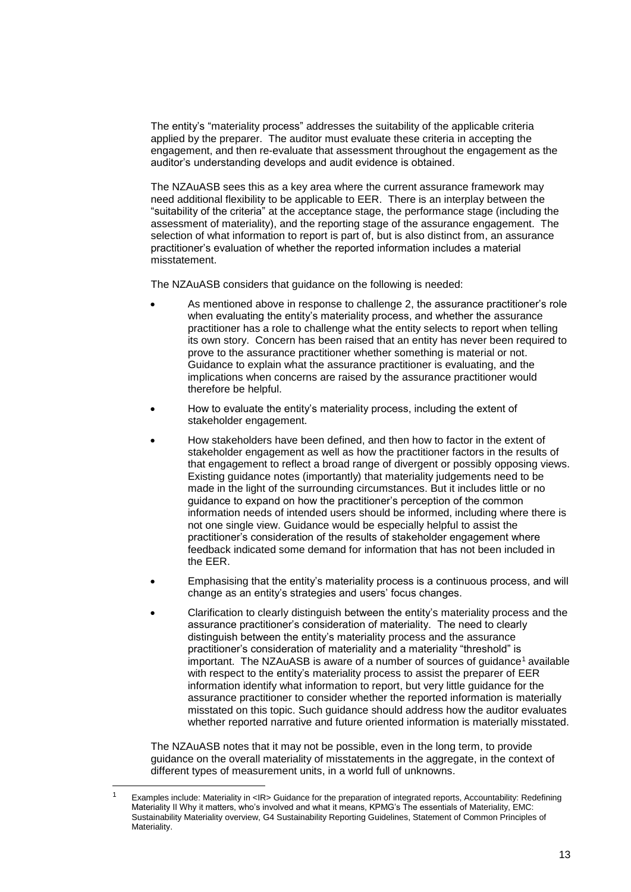The entity's "materiality process" addresses the suitability of the applicable criteria applied by the preparer. The auditor must evaluate these criteria in accepting the engagement, and then re-evaluate that assessment throughout the engagement as the auditor's understanding develops and audit evidence is obtained.

The NZAuASB sees this as a key area where the current assurance framework may need additional flexibility to be applicable to EER. There is an interplay between the "suitability of the criteria" at the acceptance stage, the performance stage (including the assessment of materiality), and the reporting stage of the assurance engagement. The selection of what information to report is part of, but is also distinct from, an assurance practitioner's evaluation of whether the reported information includes a material misstatement.

The NZAuASB considers that guidance on the following is needed:

- As mentioned above in response to challenge 2, the assurance practitioner's role when evaluating the entity's materiality process, and whether the assurance practitioner has a role to challenge what the entity selects to report when telling its own story. Concern has been raised that an entity has never been required to prove to the assurance practitioner whether something is material or not. Guidance to explain what the assurance practitioner is evaluating, and the implications when concerns are raised by the assurance practitioner would therefore be helpful.
- How to evaluate the entity's materiality process, including the extent of stakeholder engagement.
- How stakeholders have been defined, and then how to factor in the extent of stakeholder engagement as well as how the practitioner factors in the results of that engagement to reflect a broad range of divergent or possibly opposing views. Existing guidance notes (importantly) that materiality judgements need to be made in the light of the surrounding circumstances. But it includes little or no guidance to expand on how the practitioner's perception of the common information needs of intended users should be informed, including where there is not one single view. Guidance would be especially helpful to assist the practitioner's consideration of the results of stakeholder engagement where feedback indicated some demand for information that has not been included in the EER.
- Emphasising that the entity's materiality process is a continuous process, and will change as an entity's strategies and users' focus changes.
- Clarification to clearly distinguish between the entity's materiality process and the assurance practitioner's consideration of materiality. The need to clearly distinguish between the entity's materiality process and the assurance practitioner's consideration of materiality and a materiality "threshold" is important. The NZAuASB is aware of a number of sources of guidance<sup>1</sup> available with respect to the entity's materiality process to assist the preparer of EER information identify what information to report, but very little guidance for the assurance practitioner to consider whether the reported information is materially misstated on this topic. Such guidance should address how the auditor evaluates whether reported narrative and future oriented information is materially misstated.

The NZAuASB notes that it may not be possible, even in the long term, to provide guidance on the overall materiality of misstatements in the aggregate, in the context of different types of measurement units, in a world full of unknowns.

l

<sup>&</sup>lt;sup>1</sup> Examples include: Materiality in <IR> Guidance for the preparation of integrated reports, Accountability: Redefining Materiality II Why it matters, who's involved and what it means, KPMG's The essentials of Materiality, EMC: Sustainability Materiality overview, G4 Sustainability Reporting Guidelines, Statement of Common Principles of Materiality.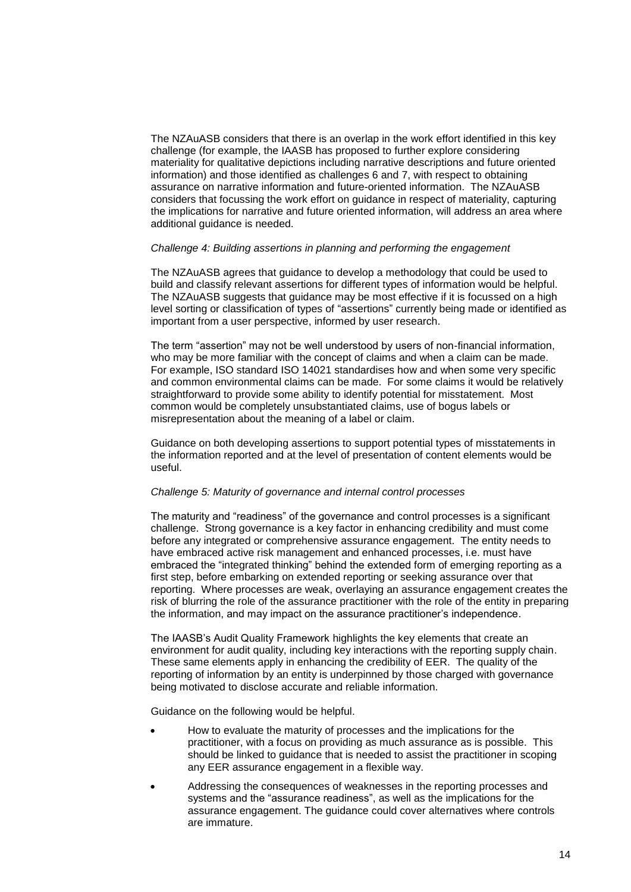The NZAuASB considers that there is an overlap in the work effort identified in this key challenge (for example, the IAASB has proposed to further explore considering materiality for qualitative depictions including narrative descriptions and future oriented information) and those identified as challenges 6 and 7, with respect to obtaining assurance on narrative information and future-oriented information. The NZAuASB considers that focussing the work effort on guidance in respect of materiality, capturing the implications for narrative and future oriented information, will address an area where additional guidance is needed.

### *Challenge 4: Building assertions in planning and performing the engagement*

The NZAuASB agrees that guidance to develop a methodology that could be used to build and classify relevant assertions for different types of information would be helpful. The NZAuASB suggests that guidance may be most effective if it is focussed on a high level sorting or classification of types of "assertions" currently being made or identified as important from a user perspective, informed by user research.

The term "assertion" may not be well understood by users of non-financial information, who may be more familiar with the concept of claims and when a claim can be made. For example, ISO standard ISO 14021 standardises how and when some very specific and common environmental claims can be made. For some claims it would be relatively straightforward to provide some ability to identify potential for misstatement. Most common would be completely unsubstantiated claims, use of bogus labels or misrepresentation about the meaning of a label or claim.

Guidance on both developing assertions to support potential types of misstatements in the information reported and at the level of presentation of content elements would be useful.

### *Challenge 5: Maturity of governance and internal control processes*

The maturity and "readiness" of the governance and control processes is a significant challenge. Strong governance is a key factor in enhancing credibility and must come before any integrated or comprehensive assurance engagement. The entity needs to have embraced active risk management and enhanced processes, i.e. must have embraced the "integrated thinking" behind the extended form of emerging reporting as a first step, before embarking on extended reporting or seeking assurance over that reporting. Where processes are weak, overlaying an assurance engagement creates the risk of blurring the role of the assurance practitioner with the role of the entity in preparing the information, and may impact on the assurance practitioner's independence.

The IAASB's Audit Quality Framework highlights the key elements that create an environment for audit quality, including key interactions with the reporting supply chain. These same elements apply in enhancing the credibility of EER. The quality of the reporting of information by an entity is underpinned by those charged with governance being motivated to disclose accurate and reliable information.

Guidance on the following would be helpful.

- How to evaluate the maturity of processes and the implications for the practitioner, with a focus on providing as much assurance as is possible. This should be linked to guidance that is needed to assist the practitioner in scoping any EER assurance engagement in a flexible way.
- Addressing the consequences of weaknesses in the reporting processes and systems and the "assurance readiness", as well as the implications for the assurance engagement. The guidance could cover alternatives where controls are immature.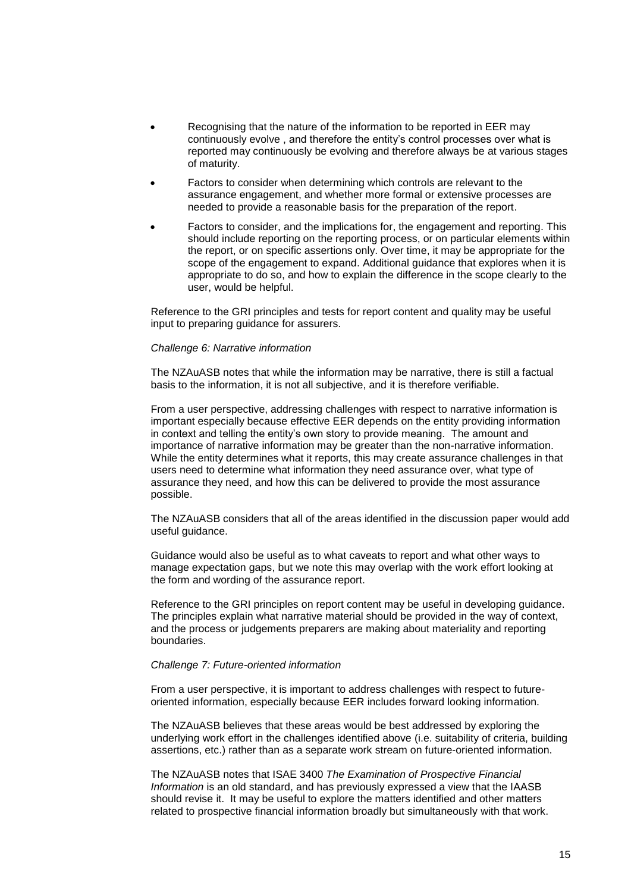- Recognising that the nature of the information to be reported in EER may continuously evolve , and therefore the entity's control processes over what is reported may continuously be evolving and therefore always be at various stages of maturity.
- Factors to consider when determining which controls are relevant to the assurance engagement, and whether more formal or extensive processes are needed to provide a reasonable basis for the preparation of the report.
- Factors to consider, and the implications for, the engagement and reporting. This should include reporting on the reporting process, or on particular elements within the report, or on specific assertions only. Over time, it may be appropriate for the scope of the engagement to expand. Additional guidance that explores when it is appropriate to do so, and how to explain the difference in the scope clearly to the user, would be helpful.

Reference to the GRI principles and tests for report content and quality may be useful input to preparing guidance for assurers.

#### *Challenge 6: Narrative information*

The NZAuASB notes that while the information may be narrative, there is still a factual basis to the information, it is not all subjective, and it is therefore verifiable.

From a user perspective, addressing challenges with respect to narrative information is important especially because effective EER depends on the entity providing information in context and telling the entity's own story to provide meaning. The amount and importance of narrative information may be greater than the non-narrative information. While the entity determines what it reports, this may create assurance challenges in that users need to determine what information they need assurance over, what type of assurance they need, and how this can be delivered to provide the most assurance possible.

The NZAuASB considers that all of the areas identified in the discussion paper would add useful guidance.

Guidance would also be useful as to what caveats to report and what other ways to manage expectation gaps, but we note this may overlap with the work effort looking at the form and wording of the assurance report.

Reference to the GRI principles on report content may be useful in developing guidance. The principles explain what narrative material should be provided in the way of context, and the process or judgements preparers are making about materiality and reporting boundaries.

### *Challenge 7: Future-oriented information*

From a user perspective, it is important to address challenges with respect to futureoriented information, especially because EER includes forward looking information.

The NZAuASB believes that these areas would be best addressed by exploring the underlying work effort in the challenges identified above (i.e. suitability of criteria, building assertions, etc.) rather than as a separate work stream on future-oriented information.

The NZAuASB notes that ISAE 3400 *The Examination of Prospective Financial Information* is an old standard, and has previously expressed a view that the IAASB should revise it. It may be useful to explore the matters identified and other matters related to prospective financial information broadly but simultaneously with that work.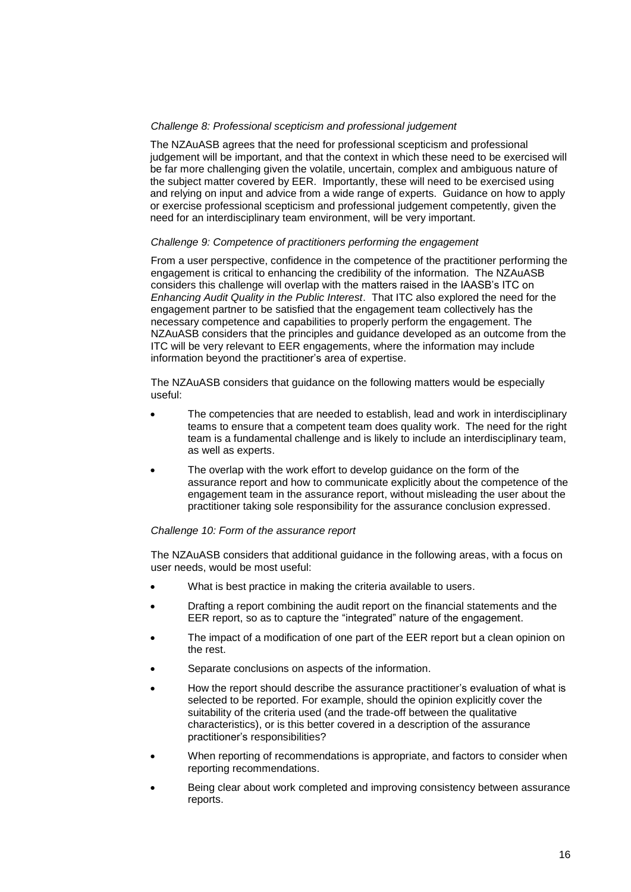# *Challenge 8: Professional scepticism and professional judgement*

The NZAuASB agrees that the need for professional scepticism and professional judgement will be important, and that the context in which these need to be exercised will be far more challenging given the volatile, uncertain, complex and ambiguous nature of the subject matter covered by EER. Importantly, these will need to be exercised using and relying on input and advice from a wide range of experts. Guidance on how to apply or exercise professional scepticism and professional judgement competently, given the need for an interdisciplinary team environment, will be very important.

## *Challenge 9: Competence of practitioners performing the engagement*

From a user perspective, confidence in the competence of the practitioner performing the engagement is critical to enhancing the credibility of the information. The NZAuASB considers this challenge will overlap with the matters raised in the IAASB's ITC on *Enhancing Audit Quality in the Public Interest*. That ITC also explored the need for the engagement partner to be satisfied that the engagement team collectively has the necessary competence and capabilities to properly perform the engagement. The NZAuASB considers that the principles and guidance developed as an outcome from the ITC will be very relevant to EER engagements, where the information may include information beyond the practitioner's area of expertise.

The NZAuASB considers that guidance on the following matters would be especially useful:

- The competencies that are needed to establish, lead and work in interdisciplinary teams to ensure that a competent team does quality work. The need for the right team is a fundamental challenge and is likely to include an interdisciplinary team, as well as experts.
- The overlap with the work effort to develop guidance on the form of the assurance report and how to communicate explicitly about the competence of the engagement team in the assurance report, without misleading the user about the practitioner taking sole responsibility for the assurance conclusion expressed.

### *Challenge 10: Form of the assurance report*

The NZAuASB considers that additional guidance in the following areas, with a focus on user needs, would be most useful:

- What is best practice in making the criteria available to users.
- Drafting a report combining the audit report on the financial statements and the EER report, so as to capture the "integrated" nature of the engagement.
- The impact of a modification of one part of the EER report but a clean opinion on the rest.
- Separate conclusions on aspects of the information.
- How the report should describe the assurance practitioner's evaluation of what is selected to be reported. For example, should the opinion explicitly cover the suitability of the criteria used (and the trade-off between the qualitative characteristics), or is this better covered in a description of the assurance practitioner's responsibilities?
- When reporting of recommendations is appropriate, and factors to consider when reporting recommendations.
- Being clear about work completed and improving consistency between assurance reports.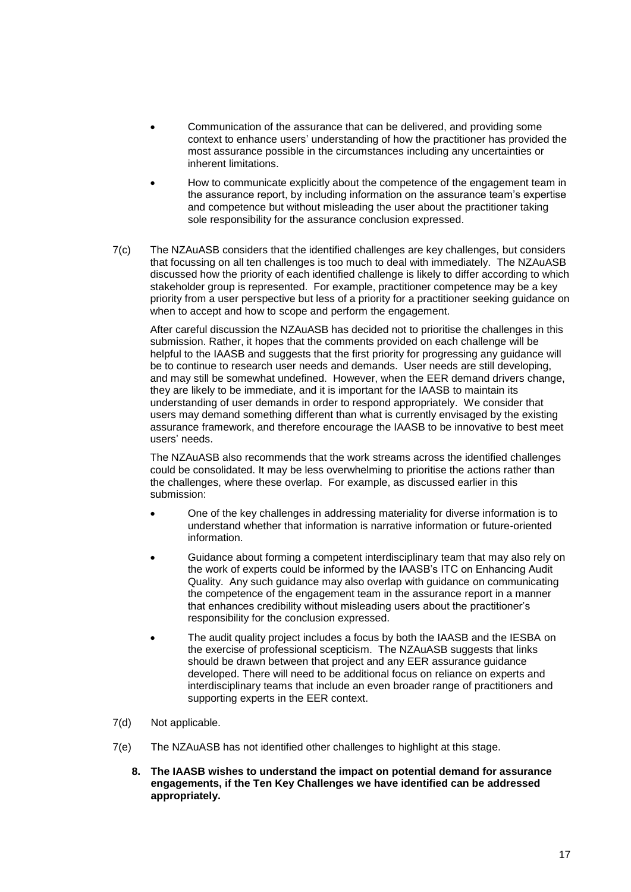- Communication of the assurance that can be delivered, and providing some context to enhance users' understanding of how the practitioner has provided the most assurance possible in the circumstances including any uncertainties or inherent limitations.
- How to communicate explicitly about the competence of the engagement team in the assurance report, by including information on the assurance team's expertise and competence but without misleading the user about the practitioner taking sole responsibility for the assurance conclusion expressed.
- 7(c) The NZAuASB considers that the identified challenges are key challenges, but considers that focussing on all ten challenges is too much to deal with immediately. The NZAuASB discussed how the priority of each identified challenge is likely to differ according to which stakeholder group is represented. For example, practitioner competence may be a key priority from a user perspective but less of a priority for a practitioner seeking guidance on when to accept and how to scope and perform the engagement.

After careful discussion the NZAuASB has decided not to prioritise the challenges in this submission. Rather, it hopes that the comments provided on each challenge will be helpful to the IAASB and suggests that the first priority for progressing any guidance will be to continue to research user needs and demands. User needs are still developing, and may still be somewhat undefined. However, when the EER demand drivers change, they are likely to be immediate, and it is important for the IAASB to maintain its understanding of user demands in order to respond appropriately. We consider that users may demand something different than what is currently envisaged by the existing assurance framework, and therefore encourage the IAASB to be innovative to best meet users' needs.

The NZAuASB also recommends that the work streams across the identified challenges could be consolidated. It may be less overwhelming to prioritise the actions rather than the challenges, where these overlap. For example, as discussed earlier in this submission:

- One of the key challenges in addressing materiality for diverse information is to understand whether that information is narrative information or future-oriented information.
- Guidance about forming a competent interdisciplinary team that may also rely on the work of experts could be informed by the IAASB's ITC on Enhancing Audit Quality. Any such guidance may also overlap with guidance on communicating the competence of the engagement team in the assurance report in a manner that enhances credibility without misleading users about the practitioner's responsibility for the conclusion expressed.
- The audit quality project includes a focus by both the IAASB and the IESBA on the exercise of professional scepticism. The NZAuASB suggests that links should be drawn between that project and any EER assurance guidance developed. There will need to be additional focus on reliance on experts and interdisciplinary teams that include an even broader range of practitioners and supporting experts in the EER context.
- 7(d) Not applicable.
- 7(e) The NZAuASB has not identified other challenges to highlight at this stage.
	- **8. The IAASB wishes to understand the impact on potential demand for assurance engagements, if the Ten Key Challenges we have identified can be addressed appropriately.**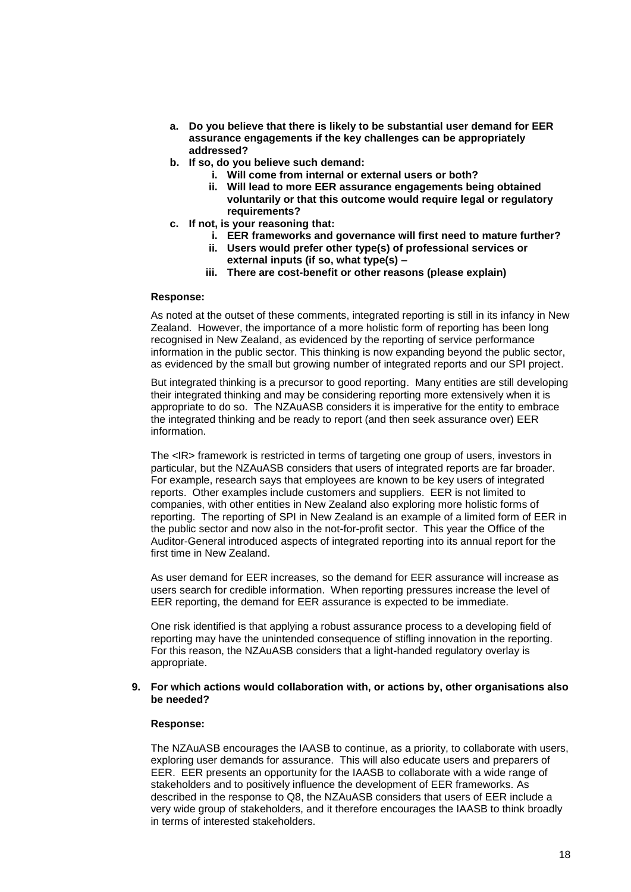- **a. Do you believe that there is likely to be substantial user demand for EER assurance engagements if the key challenges can be appropriately addressed?**
- **b. If so, do you believe such demand:**
	- **i. Will come from internal or external users or both?**
	- **ii. Will lead to more EER assurance engagements being obtained voluntarily or that this outcome would require legal or regulatory requirements?**
- **c. If not, is your reasoning that:**
	- **i. EER frameworks and governance will first need to mature further?**
	- **ii. Users would prefer other type(s) of professional services or external inputs (if so, what type(s) –**
	- **iii. There are cost-benefit or other reasons (please explain)**

### **Response:**

As noted at the outset of these comments, integrated reporting is still in its infancy in New Zealand. However, the importance of a more holistic form of reporting has been long recognised in New Zealand, as evidenced by the reporting of service performance information in the public sector. This thinking is now expanding beyond the public sector, as evidenced by the small but growing number of integrated reports and our SPI project.

But integrated thinking is a precursor to good reporting. Many entities are still developing their integrated thinking and may be considering reporting more extensively when it is appropriate to do so. The NZAuASB considers it is imperative for the entity to embrace the integrated thinking and be ready to report (and then seek assurance over) EER information.

The <IR> framework is restricted in terms of targeting one group of users, investors in particular, but the NZAuASB considers that users of integrated reports are far broader. For example, research says that employees are known to be key users of integrated reports. Other examples include customers and suppliers. EER is not limited to companies, with other entities in New Zealand also exploring more holistic forms of reporting. The reporting of SPI in New Zealand is an example of a limited form of EER in the public sector and now also in the not-for-profit sector. This year the Office of the Auditor-General introduced aspects of integrated reporting into its annual report for the first time in New Zealand.

As user demand for EER increases, so the demand for EER assurance will increase as users search for credible information. When reporting pressures increase the level of EER reporting, the demand for EER assurance is expected to be immediate.

One risk identified is that applying a robust assurance process to a developing field of reporting may have the unintended consequence of stifling innovation in the reporting. For this reason, the NZAuASB considers that a light-handed regulatory overlay is appropriate.

### **9. For which actions would collaboration with, or actions by, other organisations also be needed?**

# **Response:**

The NZAuASB encourages the IAASB to continue, as a priority, to collaborate with users, exploring user demands for assurance. This will also educate users and preparers of EER. EER presents an opportunity for the IAASB to collaborate with a wide range of stakeholders and to positively influence the development of EER frameworks. As described in the response to Q8, the NZAuASB considers that users of EER include a very wide group of stakeholders, and it therefore encourages the IAASB to think broadly in terms of interested stakeholders.